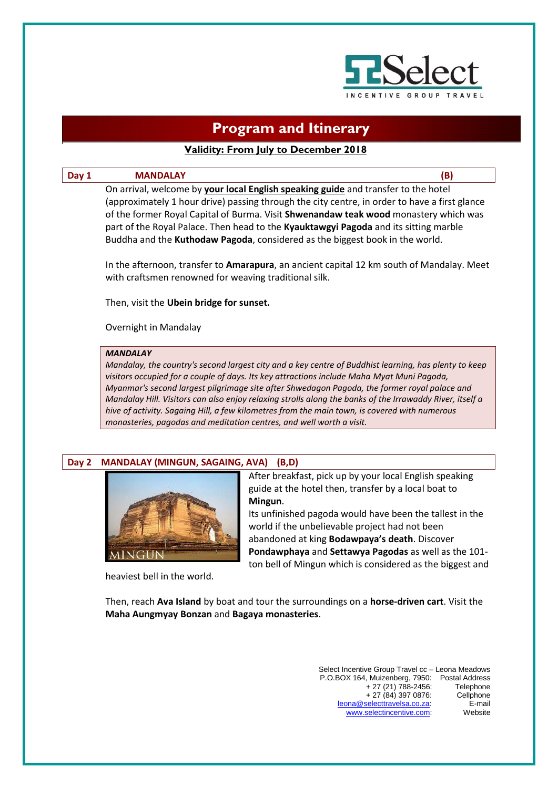

# **Program and Itinerary**

# **Validity: From July to December 2018**

## **Day 1 MANDALAY (B)**

On arrival, welcome by **your local English speaking guide** and transfer to the hotel (approximately 1 hour drive) passing through the city centre, in order to have a first glance of the former Royal Capital of Burma. Visit **Shwenandaw teak wood** monastery which was part of the Royal Palace. Then head to the **Kyauktawgyi Pagoda** and its sitting marble Buddha and the **Kuthodaw Pagoda**, considered as the biggest book in the world.

In the afternoon, transfer to **Amarapura**, an ancient capital 12 km south of Mandalay. Meet with craftsmen renowned for weaving traditional silk.

Then, visit the **Ubein bridge for sunset.**

Overnight in Mandalay

#### *MANDALAY*

*Mandalay, the country's second largest city and a key centre of Buddhist learning, has plenty to keep visitors occupied for a couple of days. Its key attractions include Maha Myat Muni Pagoda, Myanmar's second largest pilgrimage site after Shwedagon Pagoda, the former royal palace and Mandalay Hill. Visitors can also enjoy relaxing strolls along the banks of the Irrawaddy River, itself a hive of activity. Sagaing Hill, a few kilometres from the main town, is covered with numerous monasteries, pagodas and meditation centres, and well worth a visit.*

## **Day 2 MANDALAY (MINGUN, SAGAING, AVA) (B,D)**



heaviest bell in the world.

After breakfast, pick up by your local English speaking guide at the hotel then, transfer by a local boat to **Mingun**.

Its unfinished pagoda would have been the tallest in the world if the unbelievable project had not been abandoned at king **Bodawpaya's death**. Discover **Pondawphaya** and **Settawya Pagodas** as well as the 101 ton bell of Mingun which is considered as the biggest and

Then, reach **Ava Island** by boat and tour the surroundings on a **horse-driven cart**. Visit the **Maha Aungmyay Bonzan** and **Bagaya monasteries**.

> Select Incentive Group Travel cc – Leona Meadows P.O.BOX 164, Muizenberg, 7950: Postal Address + 27 (21) 788-2456: Telephone + 27 (84) 397 0876: Cellphone [leona@selecttravelsa.co.za:](mailto:leona@selecttravelsa.co.za) E-mail www.selectincentive.com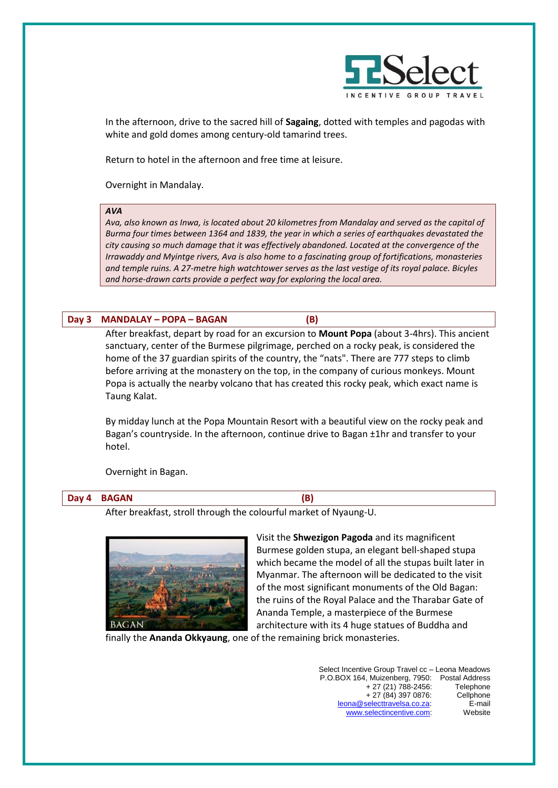

In the afternoon, drive to the sacred hill of **Sagaing**, dotted with temples and pagodas with white and gold domes among century-old tamarind trees.

Return to hotel in the afternoon and free time at leisure.

Overnight in Mandalay.

## *AVA*

*Ava, also known as Inwa, is located about 20 kilometres from Mandalay and served as the capital of Burma four times between 1364 and 1839, the year in which a series of earthquakes devastated the city causing so much damage that it was effectively abandoned. Located at the convergence of the Irrawaddy and Myintge rivers, Ava is also home to a fascinating group of fortifications, monasteries and temple ruins. A 27-metre high watchtower serves as the last vestige of its royal palace. Bicyles and horse-drawn carts provide a perfect way for exploring the local area.*

## **Day 3 MANDALAY – POPA – BAGAN (B)**

After breakfast, depart by road for an excursion to **Mount Popa** (about 3-4hrs). This ancient sanctuary, center of the Burmese pilgrimage, perched on a rocky peak, is considered the home of the 37 guardian spirits of the country, the "nats". There are 777 steps to climb before arriving at the monastery on the top, in the company of curious monkeys. Mount Popa is actually the nearby volcano that has created this rocky peak, which exact name is Taung Kalat.

By midday lunch at the Popa Mountain Resort with a beautiful view on the rocky peak and Bagan's countryside. In the afternoon, continue drive to Bagan ±1hr and transfer to your hotel.

Overnight in Bagan.

## **Day 4 BAGAN (B)**

After breakfast, stroll through the colourful market of Nyaung-U.



Visit the **Shwezigon Pagoda** and its magnificent Burmese golden stupa, an elegant bell-shaped stupa which became the model of all the stupas built later in Myanmar. The afternoon will be dedicated to the visit of the most significant monuments of the Old Bagan: the ruins of the Royal Palace and the Tharabar Gate of Ananda Temple, a masterpiece of the Burmese architecture with its 4 huge statues of Buddha and

finally the **Ananda Okkyaung**, one of the remaining brick monasteries.

| Select Incentive Group Travel cc - Leona Meadows |           |
|--------------------------------------------------|-----------|
| P.O.BOX 164, Muizenberg, 7950: Postal Address    |           |
| $+27(21)788-2456$ :                              | Telephone |
| $+27(84)3970876:$                                | Cellphone |
| leona@selecttravelsa.co.za                       | E-mail    |
| www.selectincentive.com:                         | Website   |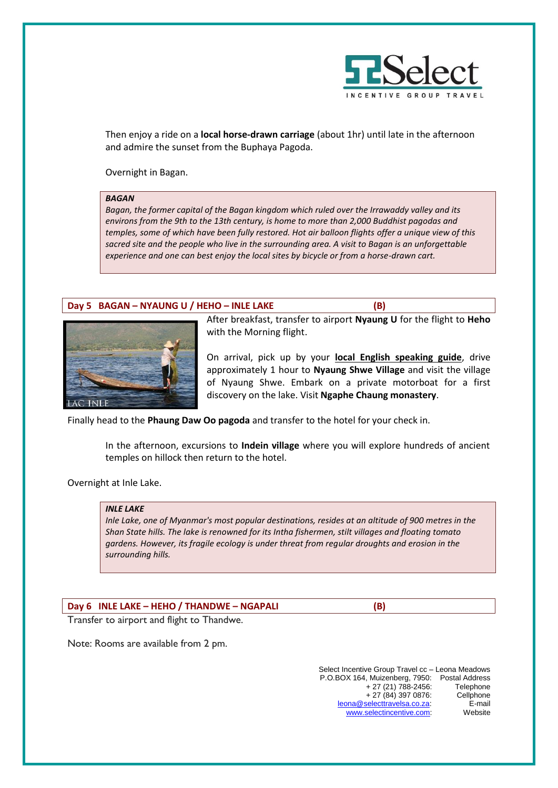

Then enjoy a ride on a **local horse-drawn carriage** (about 1hr) until late in the afternoon and admire the sunset from the Buphaya Pagoda.

Overnight in Bagan.

#### *BAGAN*

*Bagan, the former capital of the Bagan kingdom which ruled over the Irrawaddy valley and its environs from the 9th to the 13th century, is home to more than 2,000 Buddhist pagodas and temples, some of which have been fully restored. Hot air balloon flights offer a unique view of this sacred site and the people who live in the surrounding area. A visit to Bagan is an unforgettable experience and one can best enjoy the local sites by bicycle or from a horse-drawn cart.* 

## **Day 5 BAGAN – NYAUNG U / HEHO – INLE LAKE (B)**



After breakfast, transfer to airport **Nyaung U** for the flight to **Heho** with the Morning flight.

On arrival, pick up by your **local English speaking guide**, drive approximately 1 hour to **Nyaung Shwe Village** and visit the village of Nyaung Shwe. Embark on a private motorboat for a first discovery on the lake. Visit **Ngaphe Chaung monastery**.

Finally head to the **Phaung Daw Oo pagoda** and transfer to the hotel for your check in.

In the afternoon, excursions to **Indein village** where you will explore hundreds of ancient temples on hillock then return to the hotel.

Overnight at Inle Lake.

#### *INLE LAKE*

*Inle Lake, one of Myanmar's most popular destinations, resides at an altitude of 900 metres in the Shan State hills. The lake is renowned for its Intha fishermen, stilt villages and floating tomato gardens. However, its fragile ecology is under threat from regular droughts and erosion in the surrounding hills.*

**Day 6 INLE LAKE – HEHO / THANDWE – NGAPALI (B)**

Transfer to airport and flight to Thandwe.

Note: Rooms are available from 2 pm.

Select Incentive Group Travel cc – Leona Meadows P.O.BOX 164, Muizenberg, 7950: Postal Address + 27 (21) 788-2456: Telephone + 27 (84) 397 0876: Cellphone [leona@selecttravelsa.co.za:](mailto:leona@selecttravelsa.co.za) E-mail [www.selectincentive.com:](http://www.selectincentive.com/)